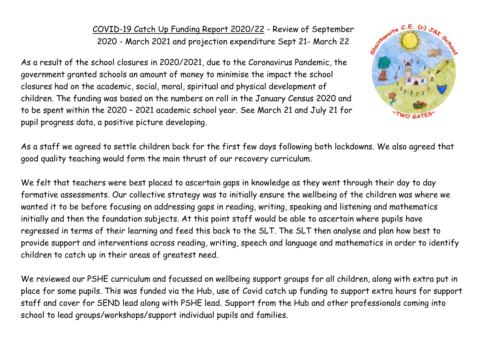COVID-19 Catch Up Funding Report 2020/22 - Review of September 2020 - March 2021 and projection expenditure Sept 21- March 22

As a result of the school closures in 2020/2021, due to the Coronavirus Pandemic, the government granted schools an amount of money to minimise the impact the school closures had on the academic, social, moral, spiritual and physical development of children. The funding was based on the numbers on roll in the January Census 2020 and to be spent within the 2020 – 2021 academic school year. See March 21 and July 21 for pupil progress data, a positive picture developing.



As a staff we agreed to settle children back for the first few days following both lockdowns. We also agreed that good quality teaching would form the main thrust of our recovery curriculum.

We felt that teachers were best placed to ascertain gaps in knowledge as they went through their day to day formative assessments. Our collective strategy was to initially ensure the wellbeing of the children was where we wanted it to be before focusing on addressing gaps in reading, writing, speaking and listening and mathematics initially and then the foundation subjects. At this point staff would be able to ascertain where pupils have regressed in terms of their learning and feed this back to the SLT. The SLT then analyse and plan how best to provide support and interventions across reading, writing, speech and language and mathematics in order to identify children to catch up in their areas of greatest need.

We reviewed our PSHE curriculum and focussed on wellbeing support groups for all children, along with extra put in place for some pupils. This was funded via the Hub, use of Covid catch up funding to support extra hours for support staff and cover for SEND lead along with PSHE lead. Support from the Hub and other professionals coming into school to lead groups/workshops/support individual pupils and families.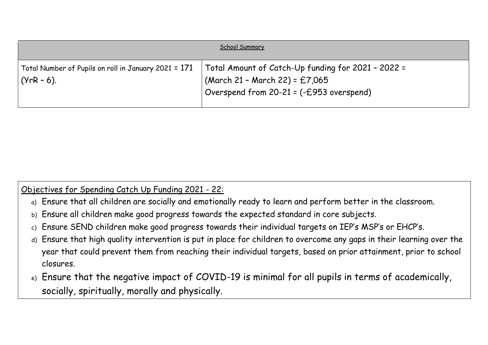|                                                                      | School Summary                                                                                                                   |
|----------------------------------------------------------------------|----------------------------------------------------------------------------------------------------------------------------------|
| Total Number of Pupils on roll in January 2021 = 171<br>  (YrR – 6). | Total Amount of Catch-Up funding for 2021 - 2022 =<br>(March 21 - March 22) = £7,065<br>Overspend from 20-21 = (-£953 overspend) |

## Objectives for Spending Catch Up Funding 2021 - 22:

- a) Ensure that all children are socially and emotionally ready to learn and perform better in the classroom.
- b) Ensure all children make good progress towards the expected standard in core subjects.
- c) Ensure SEND children make good progress towards their individual targets on IEP's MSP's or EHCP's.
- d) Ensure that high quality intervention is put in place for children to overcome any gaps in their learning over the year that could prevent them from reaching their individual targets, based on prior attainment, prior to school closures.
- e) Ensure that the negative impact of COVID-19 is minimal for all pupils in terms of academically, socially, spiritually, morally and physically.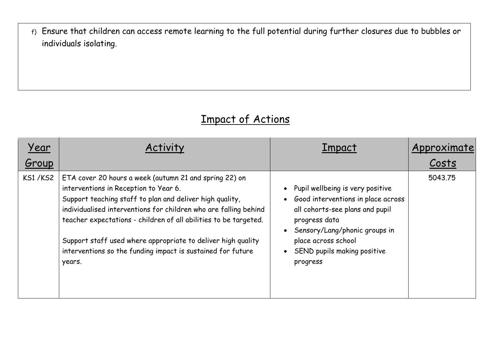f) Ensure that children can access remote learning to the full potential during further closures due to bubbles or individuals isolating.

## Impact of Actions

| Year           |                                                                                                                                                                                                                                                                                                                                                                                                                                              | <b>Impact</b>                                                                                                                                                                                                                 | Approximate |
|----------------|----------------------------------------------------------------------------------------------------------------------------------------------------------------------------------------------------------------------------------------------------------------------------------------------------------------------------------------------------------------------------------------------------------------------------------------------|-------------------------------------------------------------------------------------------------------------------------------------------------------------------------------------------------------------------------------|-------------|
| Group          |                                                                                                                                                                                                                                                                                                                                                                                                                                              |                                                                                                                                                                                                                               | Costs       |
| <b>KS1/KS2</b> | ETA cover 20 hours a week (autumn 21 and spring 22) on<br>interventions in Reception to Year 6.<br>Support teaching staff to plan and deliver high quality,<br>individualised interventions for children who are falling behind<br>teacher expectations - children of all abilities to be targeted.<br>Support staff used where appropriate to deliver high quality<br>interventions so the funding impact is sustained for future<br>years. | Pupil wellbeing is very positive<br>Good interventions in place across<br>all cohorts-see plans and pupil<br>progress data<br>Sensory/Lang/phonic groups in<br>place across school<br>SEND pupils making positive<br>progress | 5043.75     |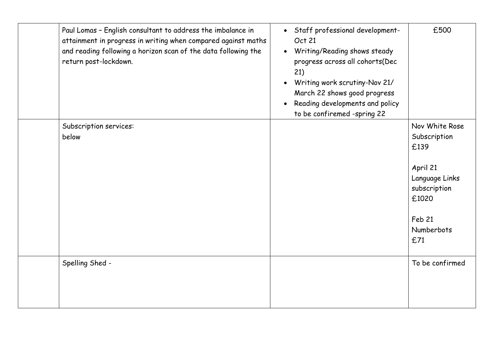| Paul Lomas - English consultant to address the imbalance in<br>attainment in progress in writing when compared against maths<br>and reading following a horizon scan of the data following the<br>return post-lockdown. | Staff professional development-<br>$\bullet$<br>Oct 21<br>Writing/Reading shows steady<br>$\bullet$<br>progress across all cohorts(Dec<br>21)<br>Writing work scrutiny-Nov 21/<br>March 22 shows good progress<br>Reading developments and policy<br>to be confiremed -spring 22 | £500                                                                                                                         |
|-------------------------------------------------------------------------------------------------------------------------------------------------------------------------------------------------------------------------|----------------------------------------------------------------------------------------------------------------------------------------------------------------------------------------------------------------------------------------------------------------------------------|------------------------------------------------------------------------------------------------------------------------------|
| Subscription services:<br>below                                                                                                                                                                                         |                                                                                                                                                                                                                                                                                  | Nov White Rose<br>Subscription<br>£139<br>April 21<br>Language Links<br>subscription<br>£1020<br>Feb 21<br>Numberbots<br>£71 |
| Spelling Shed -                                                                                                                                                                                                         |                                                                                                                                                                                                                                                                                  | To be confirmed                                                                                                              |